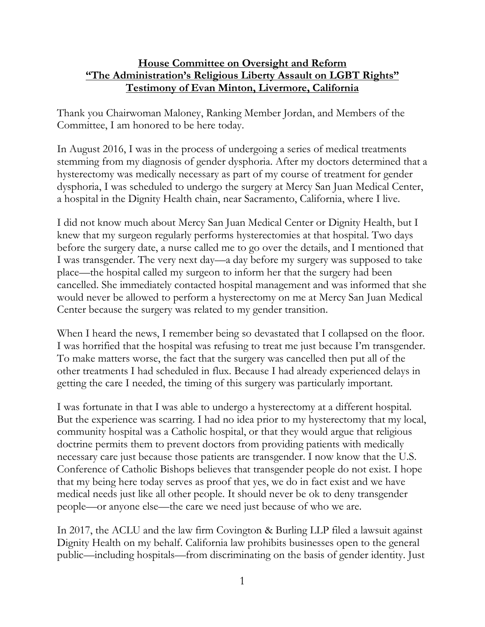## **House Committee on Oversight and Reform "The Administration's Religious Liberty Assault on LGBT Rights" Testimony of Evan Minton, Livermore, California**

Thank you Chairwoman Maloney, Ranking Member Jordan, and Members of the Committee, I am honored to be here today.

In August 2016, I was in the process of undergoing a series of medical treatments stemming from my diagnosis of gender dysphoria. After my doctors determined that a hysterectomy was medically necessary as part of my course of treatment for gender dysphoria, I was scheduled to undergo the surgery at Mercy San Juan Medical Center, a hospital in the Dignity Health chain, near Sacramento, California, where I live.

I did not know much about Mercy San Juan Medical Center or Dignity Health, but I knew that my surgeon regularly performs hysterectomies at that hospital. Two days before the surgery date, a nurse called me to go over the details, and I mentioned that I was transgender. The very next day—a day before my surgery was supposed to take place—the hospital called my surgeon to inform her that the surgery had been cancelled. She immediately contacted hospital management and was informed that she would never be allowed to perform a hysterectomy on me at Mercy San Juan Medical Center because the surgery was related to my gender transition.

When I heard the news, I remember being so devastated that I collapsed on the floor. I was horrified that the hospital was refusing to treat me just because I'm transgender. To make matters worse, the fact that the surgery was cancelled then put all of the other treatments I had scheduled in flux. Because I had already experienced delays in getting the care I needed, the timing of this surgery was particularly important.

I was fortunate in that I was able to undergo a hysterectomy at a different hospital. But the experience was scarring. I had no idea prior to my hysterectomy that my local, community hospital was a Catholic hospital, or that they would argue that religious doctrine permits them to prevent doctors from providing patients with medically necessary care just because those patients are transgender. I now know that the U.S. Conference of Catholic Bishops believes that transgender people do not exist. I hope that my being here today serves as proof that yes, we do in fact exist and we have medical needs just like all other people. It should never be ok to deny transgender people—or anyone else—the care we need just because of who we are.

In 2017, the ACLU and the law firm Covington & Burling LLP filed a lawsuit against Dignity Health on my behalf. California law prohibits businesses open to the general public—including hospitals—from discriminating on the basis of gender identity. Just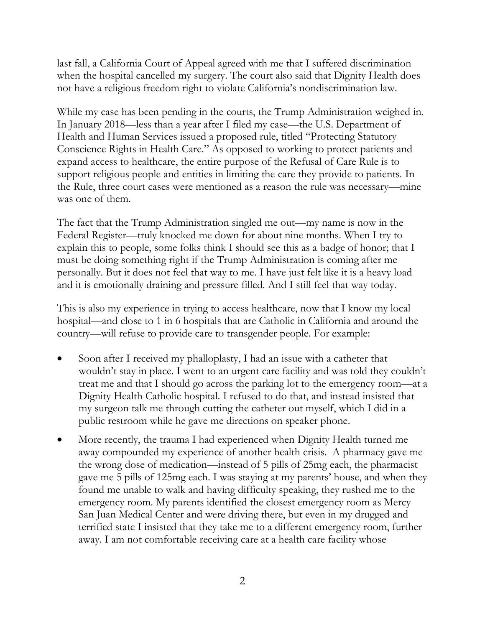last fall, a California Court of Appeal agreed with me that I suffered discrimination when the hospital cancelled my surgery. The court also said that Dignity Health does not have a religious freedom right to violate California's nondiscrimination law.

While my case has been pending in the courts, the Trump Administration weighed in. In January 2018—less than a year after I filed my case—the U.S. Department of Health and Human Services issued a proposed rule, titled "Protecting Statutory Conscience Rights in Health Care." As opposed to working to protect patients and expand access to healthcare, the entire purpose of the Refusal of Care Rule is to support religious people and entities in limiting the care they provide to patients. In the Rule, three court cases were mentioned as a reason the rule was necessary—mine was one of them.

The fact that the Trump Administration singled me out—my name is now in the Federal Register—truly knocked me down for about nine months. When I try to explain this to people, some folks think I should see this as a badge of honor; that I must be doing something right if the Trump Administration is coming after me personally. But it does not feel that way to me. I have just felt like it is a heavy load and it is emotionally draining and pressure filled. And I still feel that way today.

This is also my experience in trying to access healthcare, now that I know my local hospital—and close to 1 in 6 hospitals that are Catholic in California and around the country—will refuse to provide care to transgender people. For example:

- Soon after I received my phalloplasty, I had an issue with a catheter that wouldn't stay in place. I went to an urgent care facility and was told they couldn't treat me and that I should go across the parking lot to the emergency room—at a Dignity Health Catholic hospital. I refused to do that, and instead insisted that my surgeon talk me through cutting the catheter out myself, which I did in a public restroom while he gave me directions on speaker phone.
- More recently, the trauma I had experienced when Dignity Health turned me away compounded my experience of another health crisis. A pharmacy gave me the wrong dose of medication—instead of 5 pills of 25mg each, the pharmacist gave me 5 pills of 125mg each. I was staying at my parents' house, and when they found me unable to walk and having difficulty speaking, they rushed me to the emergency room. My parents identified the closest emergency room as Mercy San Juan Medical Center and were driving there, but even in my drugged and terrified state I insisted that they take me to a different emergency room, further away. I am not comfortable receiving care at a health care facility whose